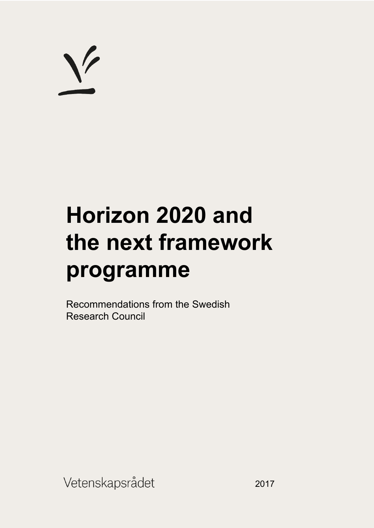# $\sqrt{}$

## **Horizon 2020 and the next framework programme**

Recommendations from the Swedish Research Council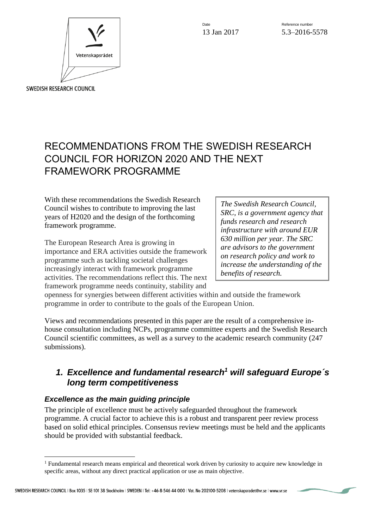

Date **Date** Reference number 13 Jan 2017 5.3-2016-5578

### RECOMMENDATIONS FROM THE SWEDISH RESEARCH COUNCIL FOR HORIZON 2020 AND THE NEXT FRAMEWORK PROGRAMME

With these recommendations the Swedish Research Council wishes to contribute to improving the last years of H2020 and the design of the forthcoming framework programme.

The European Research Area is growing in importance and ERA activities outside the framework programme such as tackling societal challenges increasingly interact with framework programme activities. The recommendations reflect this. The next framework programme needs continuity, stability and

*The Swedish Research Council, SRC, is a government agency that funds research and research infrastructure with around EUR 630 million per year. The SRC are advisors to the government on research policy and work to increase the understanding of the benefits of research.* 

openness for synergies between different activities within and outside the framework programme in order to contribute to the goals of the European Union.

Views and recommendations presented in this paper are the result of a comprehensive inhouse consultation including NCPs, programme committee experts and the Swedish Research Council scientific committees, as well as a survey to the academic research community (247 submissions).

#### *1. Excellence and fundamental research<sup>1</sup> will safeguard Europe´s long term competitiveness*

#### *Excellence as the main guiding principle*

The principle of excellence must be actively safeguarded throughout the framework programme. A crucial factor to achieve this is a robust and transparent peer review process based on solid ethical principles. Consensus review meetings must be held and the applicants should be provided with substantial feedback.

<sup>&</sup>lt;sup>1</sup> Fundamental research means empirical and theoretical work driven by curiosity to acquire new knowledge in specific areas, without any direct practical application or use as main objective.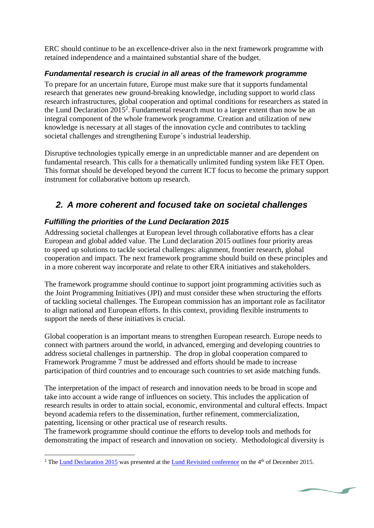ERC should continue to be an excellence-driver also in the next framework programme with retained independence and a maintained substantial share of the budget.

#### *Fundamental research is crucial in all areas of the framework programme*

To prepare for an uncertain future, Europe must make sure that it supports fundamental research that generates new ground-breaking knowledge, including support to world class research infrastructures, global cooperation and optimal conditions for researchers as stated in the Lund Declaration 2015<sup>2</sup>. Fundamental research must to a larger extent than now be an integral component of the whole framework programme. Creation and utilization of new knowledge is necessary at all stages of the innovation cycle and contributes to tackling societal challenges and strengthening Europe´s industrial leadership.

Disruptive technologies typically emerge in an unpredictable manner and are dependent on fundamental research. This calls for a thematically unlimited funding system like FET Open. This format should be developed beyond the current ICT focus to become the primary support instrument for collaborative bottom up research.

#### *2. A more coherent and focused take on societal challenges*

#### *Fulfilling the priorities of the Lund Declaration 2015*

Addressing societal challenges at European level through collaborative efforts has a clear European and global added value. The Lund declaration 2015 outlines four priority areas to speed up solutions to tackle societal challenges: alignment, frontier research, global cooperation and impact. The next framework programme should build on these principles and in a more coherent way incorporate and relate to other ERA initiatives and stakeholders.

The framework programme should continue to support joint programming activities such as the Joint Programming Initiatives (JPI) and must consider these when structuring the efforts of tackling societal challenges. The European commission has an important role as facilitator to align national and European efforts. In this context, providing flexible instruments to support the needs of these initiatives is crucial.

Global cooperation is an important means to strengthen European research. Europe needs to connect with partners around the world, in advanced, emerging and developing countries to address societal challenges in partnership. The drop in global cooperation compared to Framework Programme 7 must be addressed and efforts should be made to increase participation of third countries and to encourage such countries to set aside matching funds.

The interpretation of the impact of research and innovation needs to be broad in scope and take into account a wide range of influences on society. This includes the application of research results in order to attain social, economic, environmental and cultural effects. Impact beyond academia refers to the dissemination, further refinement, commercialization, patenting, licensing or other practical use of research results.

The framework programme should continue the efforts to develop tools and methods for demonstrating the impact of research and innovation on society. Methodological diversity is

 $\overline{a}$ <sup>2</sup> Th[e Lund Declaration 2015 w](http://www.vr.se/download/18.43a2830b15168a067b9dac74/1454326776513/The+Lund+Declaration+2015.pdf)as presented at the [Lund Revisited conference](http://www.vr.se/nyheterpress/kalendarium/konferenserochseminarier/konferenserochseminarier/lundrevisited2015.5.2d526f7c1504509e57b58d0c.html) on the 4<sup>th</sup> of December 2015.

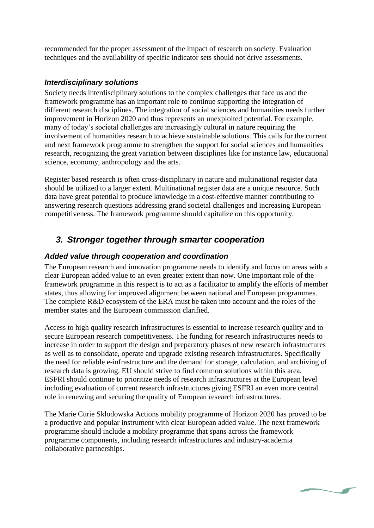recommended for the proper assessment of the impact of research on society. Evaluation techniques and the availability of specific indicator sets should not drive assessments.

#### *Interdisciplinary solutions*

Society needs interdisciplinary solutions to the complex challenges that face us and the framework programme has an important role to continue supporting the integration of different research disciplines. The integration of social sciences and humanities needs further improvement in Horizon 2020 and thus represents an unexploited potential. For example, many of today's societal challenges are increasingly cultural in nature requiring the involvement of humanities research to achieve sustainable solutions. This calls for the current and next framework programme to strengthen the support for social sciences and humanities research, recognizing the great variation between disciplines like for instance law, educational science, economy, anthropology and the arts.

Register based research is often cross-disciplinary in nature and multinational register data should be utilized to a larger extent. Multinational register data are a unique resource. Such data have great potential to produce knowledge in a cost-effective manner contributing to answering research questions addressing grand societal challenges and increasing European competitiveness. The framework programme should capitalize on this opportunity.

#### *3. Stronger together through smarter cooperation*

#### *Added value through cooperation and coordination*

The European research and innovation programme needs to identify and focus on areas with a clear European added value to an even greater extent than now. One important role of the framework programme in this respect is to act as a facilitator to amplify the efforts of member states, thus allowing for improved alignment between national and European programmes. The complete R&D ecosystem of the ERA must be taken into account and the roles of the member states and the European commission clarified.

Access to high quality research infrastructures is essential to increase research quality and to secure European research competitiveness. The funding for research infrastructures needs to increase in order to support the design and preparatory phases of new research infrastructures as well as to consolidate, operate and upgrade existing research infrastructures. Specifically the need for reliable e-infrastructure and the demand for storage, calculation, and archiving of research data is growing. EU should strive to find common solutions within this area. ESFRI should continue to prioritize needs of research infrastructures at the European level including evaluation of current research infrastructures giving ESFRI an even more central role in renewing and securing the quality of European research infrastructures.

The Marie Curie Sklodowska Actions mobility programme of Horizon 2020 has proved to be a productive and popular instrument with clear European added value. The next framework programme should include a mobility programme that spans across the framework programme components, including research infrastructures and industry-academia collaborative partnerships.